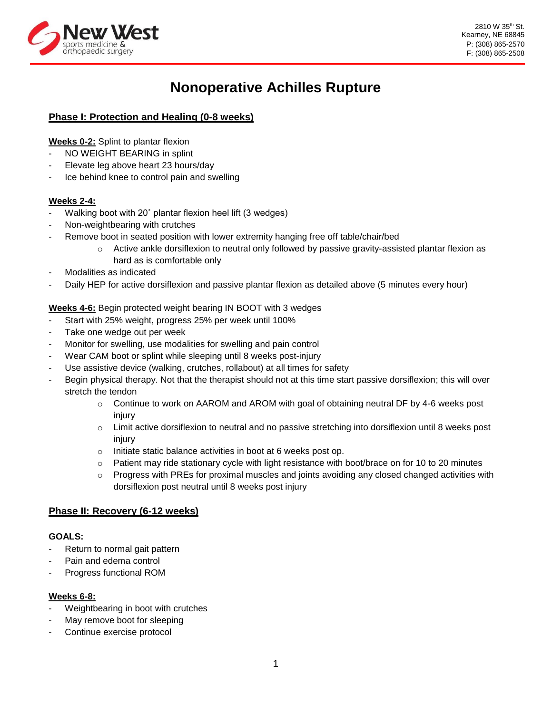

# **Nonoperative Achilles Rupture**

# **Phase I: Protection and Healing (0-8 weeks)**

## **Weeks 0-2:** Splint to plantar flexion

- NO WEIGHT BEARING in splint
- Elevate leg above heart 23 hours/day
- Ice behind knee to control pain and swelling

## **Weeks 2-4:**

- Walking boot with 20° plantar flexion heel lift (3 wedges)
- Non-weightbearing with crutches
- Remove boot in seated position with lower extremity hanging free off table/chair/bed
	- $\circ$  Active ankle dorsiflexion to neutral only followed by passive gravity-assisted plantar flexion as hard as is comfortable only
- Modalities as indicated
- Daily HEP for active dorsiflexion and passive plantar flexion as detailed above (5 minutes every hour)

## **Weeks 4-6:** Begin protected weight bearing IN BOOT with 3 wedges

- Start with 25% weight, progress 25% per week until 100%
- Take one wedge out per week
- Monitor for swelling, use modalities for swelling and pain control
- Wear CAM boot or splint while sleeping until 8 weeks post-injury
- Use assistive device (walking, crutches, rollabout) at all times for safety
- Begin physical therapy. Not that the therapist should not at this time start passive dorsiflexion; this will over stretch the tendon
	- $\circ$  Continue to work on AAROM and AROM with goal of obtaining neutral DF by 4-6 weeks post injury
	- $\circ$  Limit active dorsiflexion to neutral and no passive stretching into dorsiflexion until 8 weeks post injury
	- o Initiate static balance activities in boot at 6 weeks post op.
	- $\circ$  Patient may ride stationary cycle with light resistance with boot/brace on for 10 to 20 minutes
	- o Progress with PREs for proximal muscles and joints avoiding any closed changed activities with dorsiflexion post neutral until 8 weeks post injury

## **Phase II: Recovery (6-12 weeks)**

#### **GOALS:**

- Return to normal gait pattern
- Pain and edema control
- Progress functional ROM

#### **Weeks 6-8:**

- Weightbearing in boot with crutches
- May remove boot for sleeping
- Continue exercise protocol